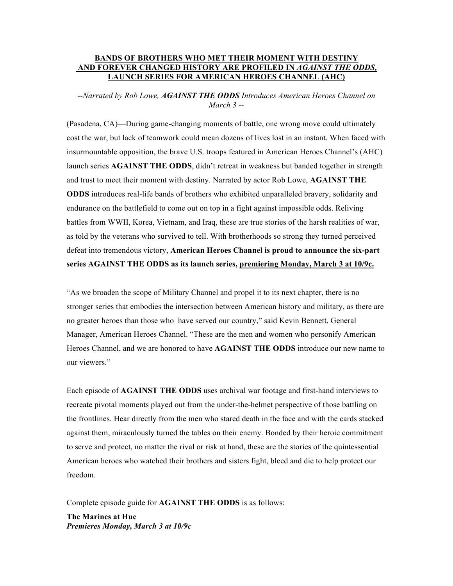### **BANDS OF BROTHERS WHO MET THEIR MOMENT WITH DESTINY AND FOREVER CHANGED HISTORY ARE PROFILED IN** *AGAINST THE ODDS,* **LAUNCH SERIES FOR AMERICAN HEROES CHANNEL (AHC)**

*--Narrated by Rob Lowe, AGAINST THE ODDS Introduces American Heroes Channel on March 3 --*

(Pasadena, CA)—During game-changing moments of battle, one wrong move could ultimately cost the war, but lack of teamwork could mean dozens of lives lost in an instant. When faced with insurmountable opposition, the brave U.S. troops featured in American Heroes Channel's (AHC) launch series **AGAINST THE ODDS**, didn't retreat in weakness but banded together in strength and trust to meet their moment with destiny. Narrated by actor Rob Lowe, **AGAINST THE ODDS** introduces real-life bands of brothers who exhibited unparalleled bravery, solidarity and endurance on the battlefield to come out on top in a fight against impossible odds. Reliving battles from WWII, Korea, Vietnam, and Iraq, these are true stories of the harsh realities of war, as told by the veterans who survived to tell. With brotherhoods so strong they turned perceived defeat into tremendous victory, **American Heroes Channel is proud to announce the six-part series AGAINST THE ODDS as its launch series, premiering Monday, March 3 at 10/9c.** 

"As we broaden the scope of Military Channel and propel it to its next chapter, there is no stronger series that embodies the intersection between American history and military, as there are no greater heroes than those who have served our country," said Kevin Bennett, General Manager, American Heroes Channel. "These are the men and women who personify American Heroes Channel, and we are honored to have **AGAINST THE ODDS** introduce our new name to our viewers."

Each episode of **AGAINST THE ODDS** uses archival war footage and first-hand interviews to recreate pivotal moments played out from the under-the-helmet perspective of those battling on the frontlines. Hear directly from the men who stared death in the face and with the cards stacked against them, miraculously turned the tables on their enemy. Bonded by their heroic commitment to serve and protect, no matter the rival or risk at hand, these are the stories of the quintessential American heroes who watched their brothers and sisters fight, bleed and die to help protect our freedom.

Complete episode guide for **AGAINST THE ODDS** is as follows:

**The Marines at Hue**  *Premieres Monday, March 3 at 10/9c*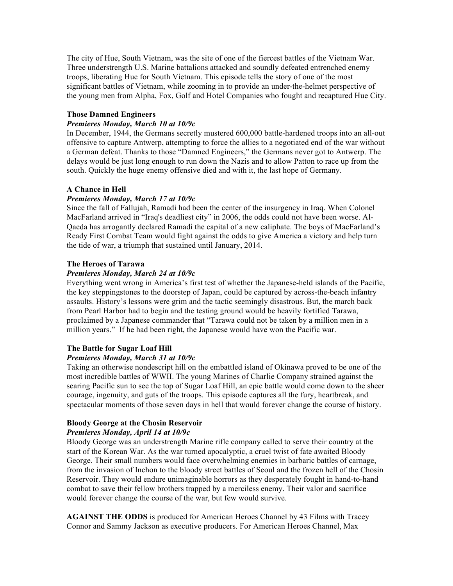The city of Hue, South Vietnam, was the site of one of the fiercest battles of the Vietnam War. Three understrength U.S. Marine battalions attacked and soundly defeated entrenched enemy troops, liberating Hue for South Vietnam. This episode tells the story of one of the most significant battles of Vietnam, while zooming in to provide an under-the-helmet perspective of the young men from Alpha, Fox, Golf and Hotel Companies who fought and recaptured Hue City.

# **Those Damned Engineers**

### *Premieres Monday, March 10 at 10/9c*

In December, 1944, the Germans secretly mustered 600,000 battle-hardened troops into an all-out offensive to capture Antwerp, attempting to force the allies to a negotiated end of the war without a German defeat. Thanks to those "Damned Engineers," the Germans never got to Antwerp. The delays would be just long enough to run down the Nazis and to allow Patton to race up from the south. Quickly the huge enemy offensive died and with it, the last hope of Germany.

### **A Chance in Hell**

### *Premieres Monday, March 17 at 10/9c*

Since the fall of Fallujah, Ramadi had been the center of the insurgency in Iraq. When Colonel MacFarland arrived in "Iraq's deadliest city" in 2006, the odds could not have been worse. Al-Qaeda has arrogantly declared Ramadi the capital of a new caliphate. The boys of MacFarland's Ready First Combat Team would fight against the odds to give America a victory and help turn the tide of war, a triumph that sustained until January, 2014.

### **The Heroes of Tarawa**

### *Premieres Monday, March 24 at 10/9c*

Everything went wrong in America's first test of whether the Japanese-held islands of the Pacific, the key steppingstones to the doorstep of Japan, could be captured by across-the-beach infantry assaults. History's lessons were grim and the tactic seemingly disastrous. But, the march back from Pearl Harbor had to begin and the testing ground would be heavily fortified Tarawa, proclaimed by a Japanese commander that "Tarawa could not be taken by a million men in a million years." If he had been right, the Japanese would have won the Pacific war.

# **The Battle for Sugar Loaf Hill**

# *Premieres Monday, March 31 at 10/9c*

Taking an otherwise nondescript hill on the embattled island of Okinawa proved to be one of the most incredible battles of WWII. The young Marines of Charlie Company strained against the searing Pacific sun to see the top of Sugar Loaf Hill, an epic battle would come down to the sheer courage, ingenuity, and guts of the troops. This episode captures all the fury, heartbreak, and spectacular moments of those seven days in hell that would forever change the course of history.

# **Bloody George at the Chosin Reservoir**

#### *Premieres Monday, April 14 at 10/9c*

Bloody George was an understrength Marine rifle company called to serve their country at the start of the Korean War. As the war turned apocalyptic, a cruel twist of fate awaited Bloody George. Their small numbers would face overwhelming enemies in barbaric battles of carnage, from the invasion of Inchon to the bloody street battles of Seoul and the frozen hell of the Chosin Reservoir. They would endure unimaginable horrors as they desperately fought in hand-to-hand combat to save their fellow brothers trapped by a merciless enemy. Their valor and sacrifice would forever change the course of the war, but few would survive.

**AGAINST THE ODDS** is produced for American Heroes Channel by 43 Films with Tracey Connor and Sammy Jackson as executive producers. For American Heroes Channel, Max